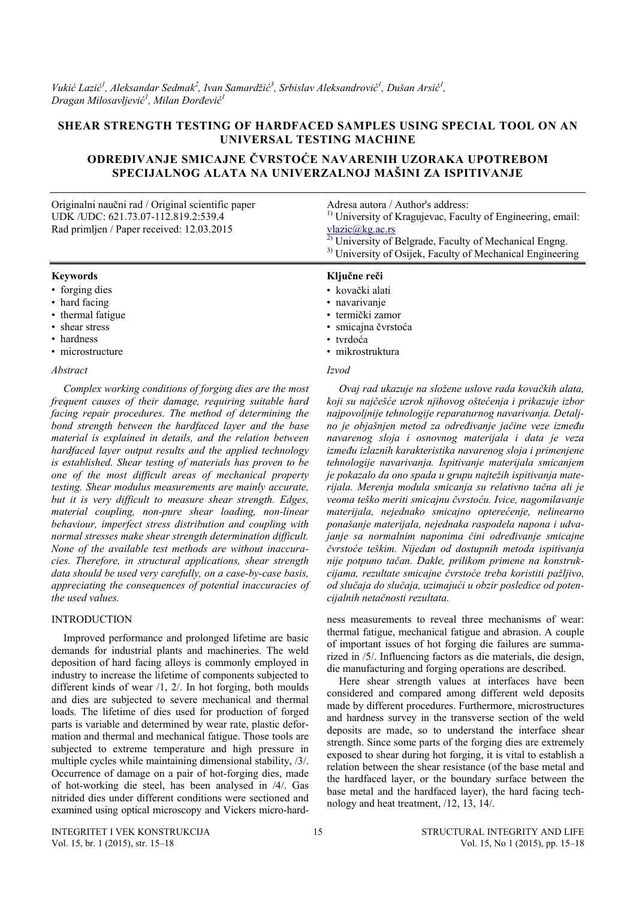*Vukić Lazić<sup>1</sup>, Aleksandar Sedmak<sup>2</sup>, Ivan Samardžić<sup>3</sup>, Srbislav Aleksandrović<sup>1</sup>, Dušan Arsić<sup>1</sup>, Dragan Milosavljević 1 , Milan Đorđević 1*

## **SHEAR STRENGTH TESTING OF HARDFACED SAMPLES USING SPECIAL TOOL ON AN UNIVERSAL TESTING MACHINE**

# **ODREĐIVANJE SMICAJNE ČVRSTOĆE NAVARENIH UZORAKA UPOTREBOM SPECIJALNOG ALATA NA UNIVERZALNOJ MAŠINI ZA ISPITIVANJE**

| Originalni naučni rad / Original scientific paper<br>UDK / UDC: 621.73.07-112.819.2:539.4<br>Rad primljen / Paper received: 12.03.2015 | Adresa autora / Author's address:<br><sup>1)</sup> University of Kragujevac, Faculty of Engineering, email:<br>v <sub>l</sub> azic@ <sub>k</sub> g.ac.rs<br><sup>2)</sup> University of Belgrade, Faculty of Mechanical Engng.<br><sup>3)</sup> University of Osijek, Faculty of Mechanical Engineering |  |  |  |  |
|----------------------------------------------------------------------------------------------------------------------------------------|---------------------------------------------------------------------------------------------------------------------------------------------------------------------------------------------------------------------------------------------------------------------------------------------------------|--|--|--|--|
| <b>Keywords</b>                                                                                                                        | Ključne reči                                                                                                                                                                                                                                                                                            |  |  |  |  |
| • forging dies                                                                                                                         | • kovački alati                                                                                                                                                                                                                                                                                         |  |  |  |  |
| • hard facing                                                                                                                          | • navarivanje                                                                                                                                                                                                                                                                                           |  |  |  |  |
| • thermal fatigue                                                                                                                      | • termički zamor                                                                                                                                                                                                                                                                                        |  |  |  |  |
| • shear stress                                                                                                                         | · smicajna čvrstoća                                                                                                                                                                                                                                                                                     |  |  |  |  |
| • hardness                                                                                                                             | • tvrdoća                                                                                                                                                                                                                                                                                               |  |  |  |  |
| • microstructure                                                                                                                       | • mikrostruktura                                                                                                                                                                                                                                                                                        |  |  |  |  |
| Abstract                                                                                                                               | Izvod                                                                                                                                                                                                                                                                                                   |  |  |  |  |
| Complex working conditions of forging dies are the most                                                                                | Ovaj rad ukazuje na složene uslove rada kovačkih alata                                                                                                                                                                                                                                                  |  |  |  |  |

*Complex working conditions of forging dies are the most frequent causes of their damage, requiring suitable hard facing repair procedures. The method of determining the bond strength between the hardfaced layer and the base material is explained in details, and the relation between hardfaced layer output results and the applied technology is established. Shear testing of materials has proven to be one of the most difficult areas of mechanical property testing. Shear modulus measurements are mainly accurate, but it is very difficult to measure shear strength. Edges, material coupling, non-pure shear loading, non-linear behaviour, imperfect stress distribution and coupling with normal stresses make shear strength determination difficult. None of the available test methods are without inaccuracies. Therefore, in structural applications, shear strength data should be used very carefully, on a case-by-case basis, appreciating the consequences of potential inaccuracies of the used values.* 

## **INTRODUCTION**

Improved performance and prolonged lifetime are basic demands for industrial plants and machineries. The weld deposition of hard facing alloys is commonly employed in industry to increase the lifetime of components subjected to different kinds of wear /1, 2/. In hot forging, both moulds and dies are subjected to severe mechanical and thermal loads. The lifetime of dies used for production of forged parts is variable and determined by wear rate, plastic deformation and thermal and mechanical fatigue. Those tools are subjected to extreme temperature and high pressure in multiple cycles while maintaining dimensional stability, /3/. Occurrence of damage on a pair of hot-forging dies, made of hot-working die steel, has been analysed in /4/. Gas nitrided dies under different conditions were sectioned and examined using optical microscopy and Vickers micro-hard-

*Ovaj rad ukazuje na složene uslove rada kovačkih alata, koji su najčešće uzrok njihovog oštećenja i prikazuje izbor najpovoljnije tehnologije reparaturnog navarivanja. Detaljno je objašnjen metod za određivanje jačine veze između navarenog sloja i osnovnog materijala i data je veza između izlaznih karakteristika navarenog sloja i primenjene tehnologije navarivanja. Ispitivanje materijala smicanjem je pokazalo da ono spada u grupu najtežih ispitivanja materijala. Merenja modula smicanja su relativno tačna ali je veoma teško meriti smicajnu čvrstoću. Ivice, nagomilavanje materijala, nejednako smicajno opterećenje, nelinearno ponašanje materijala, nejednaka raspodela napona i udvajanje sa normalnim naponima čini određivanje smicajne čvrstoće teškim. Nijedan od dostupnih metoda ispitivanja nije potpuno tačan. Dakle, prilikom primene na konstrukcijama, rezultate smicajne čvrstoće treba koristiti pažljivo, od slučaja do slučaja, uzimajući u obzir posledice od potencijalnih netačnosti rezultata.* 

ness measurements to reveal three mechanisms of wear: thermal fatigue, mechanical fatigue and abrasion. A couple of important issues of hot forging die failures are summarized in /5/. Influencing factors as die materials, die design, die manufacturing and forging operations are described.

Here shear strength values at interfaces have been considered and compared among different weld deposits made by different procedures. Furthermore, microstructures and hardness survey in the transverse section of the weld deposits are made, so to understand the interface shear strength. Since some parts of the forging dies are extremely exposed to shear during hot forging, it is vital to establish a relation between the shear resistance (of the base metal and the hardfaced layer, or the boundary surface between the base metal and the hardfaced layer), the hard facing technology and heat treatment, /12, 13, 14/.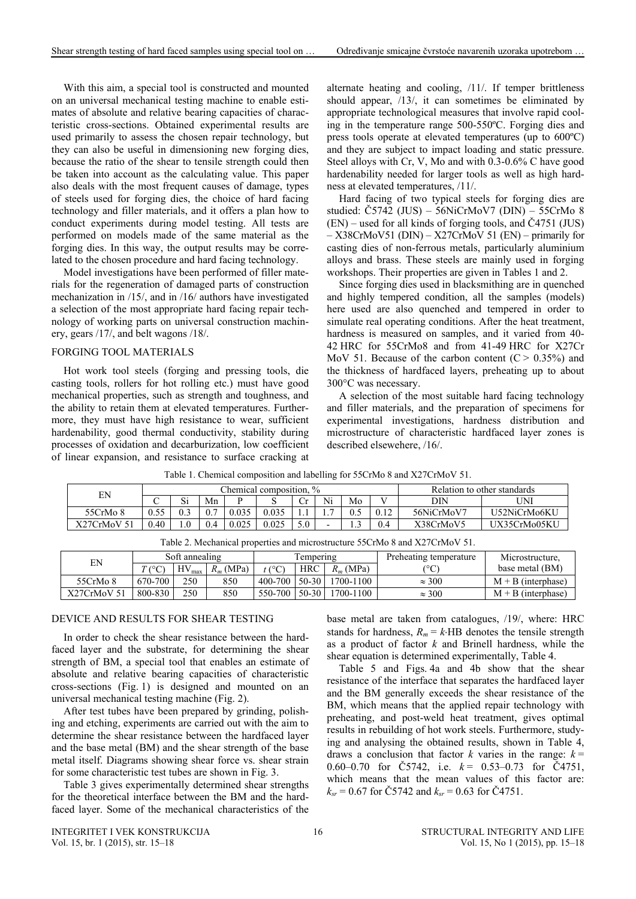With this aim, a special tool is constructed and mounted on an universal mechanical testing machine to enable estimates of absolute and relative bearing capacities of characteristic cross-sections. Obtained experimental results are used primarily to assess the chosen repair technology, but they can also be useful in dimensioning new forging dies, because the ratio of the shear to tensile strength could then be taken into account as the calculating value. This paper also deals with the most frequent causes of damage, types of steels used for forging dies, the choice of hard facing technology and filler materials, and it offers a plan how to conduct experiments during model testing. All tests are performed on models made of the same material as the forging dies. In this way, the output results may be correlated to the chosen procedure and hard facing technology.

Model investigations have been performed of filler materials for the regeneration of damaged parts of construction mechanization in /15/, and in /16/ authors have investigated a selection of the most appropriate hard facing repair technology of working parts on universal construction machinery, gears /17/, and belt wagons /18/.

#### FORGING TOOL MATERIALS

Hot work tool steels (forging and pressing tools, die casting tools, rollers for hot rolling etc.) must have good mechanical properties, such as strength and toughness, and the ability to retain them at elevated temperatures. Furthermore, they must have high resistance to wear, sufficient hardenability, good thermal conductivity, stability during processes of oxidation and decarburization, low coefficient of linear expansion, and resistance to surface cracking at

alternate heating and cooling, /11/. If temper brittleness should appear, /13/, it can sometimes be eliminated by appropriate technological measures that involve rapid cooling in the temperature range 500-550ºC. Forging dies and press tools operate at elevated temperatures (up to 600ºC) and they are subject to impact loading and static pressure. Steel alloys with Cr, V, Mo and with 0.3-0.6% C have good hardenability needed for larger tools as well as high hardness at elevated temperatures, /11/.

Hard facing of two typical steels for forging dies are studied: Č5742 (JUS) – 56NiCrMoV7 (DIN) – 55CrMo 8 (EN) – used for all kinds of forging tools, and Č4751 (JUS) – X38CrMoV51 (DIN) – X27CrMoV 51 (EN) – primarily for casting dies of non-ferrous metals, particularly aluminium alloys and brass. These steels are mainly used in forging workshops. Their properties are given in Tables 1 and 2.

Since forging dies used in blacksmithing are in quenched and highly tempered condition, all the samples (models) here used are also quenched and tempered in order to simulate real operating conditions. After the heat treatment, hardness is measured on samples, and it varied from 40-42 HRC for 55CrMo8 and from 41-49 HRC for X27Cr MoV 51. Because of the carbon content  $(C > 0.35\%)$  and the thickness of hardfaced layers, preheating up to about 300C was necessary.

A selection of the most suitable hard facing technology and filler materials, and the preparation of specimens for experimental investigations, hardness distribution and microstructure of characteristic hardfaced layer zones is described elsewehere, /16/.

| EN                                                                          |                                     | Chemical composition, % |     |          |             |           |             |           |                        | Relation to other standards |                      |               |                      |
|-----------------------------------------------------------------------------|-------------------------------------|-------------------------|-----|----------|-------------|-----------|-------------|-----------|------------------------|-----------------------------|----------------------|---------------|----------------------|
|                                                                             |                                     | Si                      | Mn  |          |             | Ċr        | Ni<br>Mo    |           |                        | DIN                         | UNI                  |               |                      |
| 55CrMo 8                                                                    | 0.55                                | 0.3                     | 0.7 | 0.035    | 0.035       |           |             | 0.5       | 0.12                   | 56NiCrMoV7                  | U52NiCrMo6KU         |               |                      |
| X27CrMoV 51                                                                 | 0.40                                | 1.0                     | 0.4 | 0.025    | 0.025       | 5.0       |             |           | 0.4                    | X38CrMoV5                   | UX35CrMo05KU         |               |                      |
| Table 2. Mechanical properties and microstructure 55CrMo 8 and X27CrMoV 51. |                                     |                         |     |          |             |           |             |           |                        |                             |                      |               |                      |
| EN                                                                          |                                     | Soft annealing          |     |          | Tempering   |           |             |           | Preheating temperature | Microstructure.             |                      |               |                      |
|                                                                             | $R_m$ (MPa)<br>$HV_{max}$<br>T (°C) |                         |     | $t$ (°C) | <b>HRC</b>  |           | $R_m$ (MPa) |           | (°C)                   | base metal (BM)             |                      |               |                      |
| 55CrMo 8                                                                    | 670-700                             | 250                     |     | 850      | $400 - 700$ | $50 - 30$ |             | 1700-1100 |                        |                             |                      | $\approx 300$ | $M + B$ (interphase) |
| X27CrMoV 51                                                                 | 800-830                             | 250                     |     | 850      | 550-700     | $50-30$   |             | 1700-1100 |                        | $\approx 300$               | $M + B$ (interphase) |               |                      |

Table 1. Chemical composition and labelling for 55CrMo 8 and X27CrMoV 51.

## DEVICE AND RESULTS FOR SHEAR TESTING

In order to check the shear resistance between the hardfaced layer and the substrate, for determining the shear strength of BM, a special tool that enables an estimate of absolute and relative bearing capacities of characteristic cross-sections (Fig. 1) is designed and mounted on an universal mechanical testing machine (Fig. 2).

After test tubes have been prepared by grinding, polishing and etching, experiments are carried out with the aim to determine the shear resistance between the hardfaced layer and the base metal (BM) and the shear strength of the base metal itself. Diagrams showing shear force vs. shear strain for some characteristic test tubes are shown in Fig. 3.

Table 3 gives experimentally determined shear strengths for the theoretical interface between the BM and the hardfaced layer. Some of the mechanical characteristics of the base metal are taken from catalogues, /19/, where: HRC stands for hardness,  $R_m = k$ HB denotes the tensile strength as a product of factor *k* and Brinell hardness, while the shear equation is determined experimentally, Table 4.

Table 5 and Figs. 4a and 4b show that the shear resistance of the interface that separates the hardfaced layer and the BM generally exceeds the shear resistance of the BM, which means that the applied repair technology with preheating, and post-weld heat treatment, gives optimal results in rebuilding of hot work steels. Furthermore, studying and analysing the obtained results, shown in Table 4, draws a conclusion that factor *k* varies in the range:  $k =$ 0.60–0.70 for  $\text{C5742}$ , i.e.  $k = 0.53$ –0.73 for  $\text{C4751}$ , which means that the mean values of this factor are:  $k_{sr}$  = 0.67 for Č5742 and  $k_{sr}$  = 0.63 for Č4751.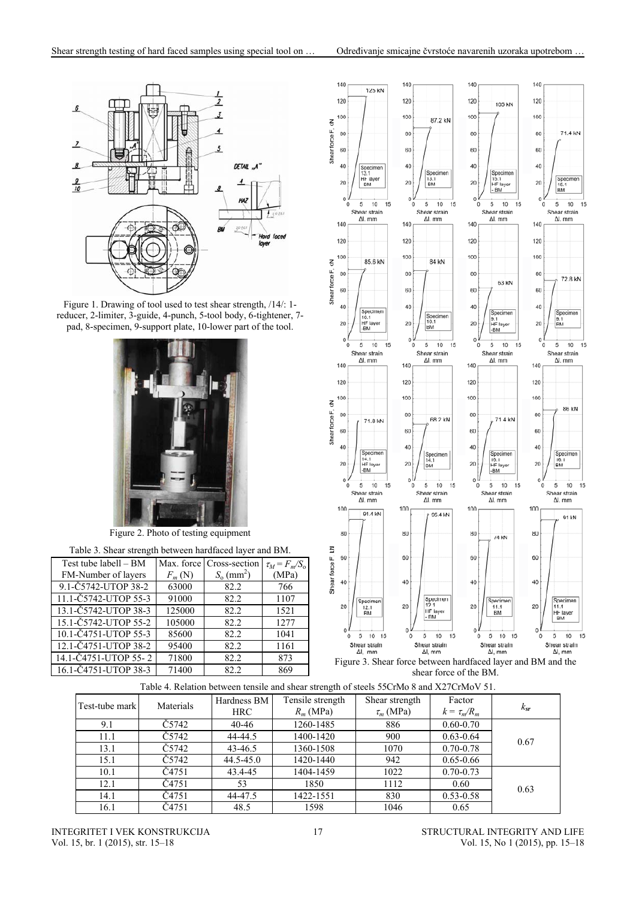

Figure 1. Drawing of tool used to test shear strength, /14/: 1 reducer, 2-limiter, 3-guide, 4-punch, 5-tool body, 6-tightener, 7 pad, 8-specimen, 9-support plate, 10-lower part of the tool.



Figure 2. Photo of testing equipment

| Table 3. Shear strength between hardfaced layer and BM. |          |                          |                    |  |  |  |  |  |
|---------------------------------------------------------|----------|--------------------------|--------------------|--|--|--|--|--|
| Test tube labell – BM                                   |          | Max. force Cross-section | $\tau_M = F_m/S_o$ |  |  |  |  |  |
| FM-Number of layers                                     | $F_m(N)$ | $S_0$ (mm <sup>2</sup> ) | (MPa)              |  |  |  |  |  |
| 9.1-Č5742-UTOP 38-2                                     | 63000    | 82.2                     | 766                |  |  |  |  |  |
| 11.1-Č5742-UTOP 55-3                                    | 91000    | 82.2                     | 1107               |  |  |  |  |  |
| 13.1-Č5742-UTOP 38-3                                    | 125000   | 82.2                     | 1521               |  |  |  |  |  |
| 15.1-Č5742-UTOP 55-2                                    | 105000   | 82.2                     | 1277               |  |  |  |  |  |
| 10.1-Č4751-UTOP 55-3                                    | 85600    | 82.2                     | 1041               |  |  |  |  |  |
| 12.1-Č4751-UTOP 38-2                                    | 95400    | 82.2                     | 1161               |  |  |  |  |  |
| 14.1-C4751-UTOP 55-2                                    | 71800    | 82.2                     | 873                |  |  |  |  |  |
| 16.1-Č4751-UTOP 38-3                                    | 71400    | 82.2                     | 869                |  |  |  |  |  |





| Table 4. Relation between tensile and shear strength of steels 55CrMo 8 and X27CrMoV 51. |  |  |
|------------------------------------------------------------------------------------------|--|--|
|                                                                                          |  |  |

| Test-tube mark | Materials | Hardness BM | Tensile strength | Shear strength | Factor           | $k_{sr}$ |
|----------------|-----------|-------------|------------------|----------------|------------------|----------|
|                |           | HRC-        | $R_m$ (MPa)      | $\tau_m$ (MPa) | $k = \tau_m/R_m$ |          |
| 9.1            | Č5742.    | 40-46       | 1260-1485        | 886            | $0.60 - 0.70$    |          |
| 11.1           | Č5742     | 44-44.5     | 1400-1420        | 900            | $0.63 - 0.64$    | 0.67     |
| 13.1           | Č5742.    | 43-46.5     | 1360-1508        | 1070           | $0.70 - 0.78$    |          |
| 15.1           | Č5742.    | 44.5-45.0   | 1420-1440        | 942            | $0.65 - 0.66$    |          |
| 10.1           | Č4751     | 43.4-45     | 1404-1459        | 1022           | $0.70 - 0.73$    |          |
| 12.1           | Č4751     | 53          | 1850             | 1112           | 0.60             | 0.63     |
| 14.1           | Č4751     | 44-47.5     | 1422-1551        | 830            | $0.53 - 0.58$    |          |
| 16.1           | Č4751     | 48.5        | 1598             | 1046           | 0.65             |          |

INTEGRITET I VEK KONSTRUKCIJA Vol. 15, br. 1 (2015), str. 15–18